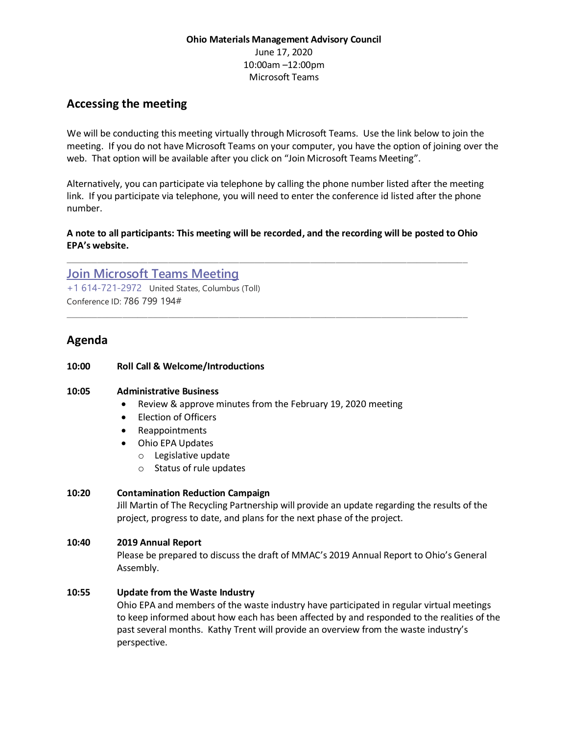## **Ohio Materials Management Advisory Council** June 17, 2020 10:00am –12:00pm Microsoft Teams

# **Accessing the meeting**

We will be conducting this meeting virtually through Microsoft Teams. Use the link below to join the meeting. If you do not have Microsoft Teams on your computer, you have the option of joining over the web. That option will be available after you click on "Join Microsoft Teams Meeting".

Alternatively, you can participate via telephone by calling the phone number listed after the meeting link. If you participate via telephone, you will need to enter the conference id listed after the phone number.

#### **A note to all participants: This meeting will be recorded, and the recording will be posted to Ohio EPA's website.**

\_\_\_\_\_\_\_\_\_\_\_\_\_\_\_\_\_\_\_\_\_\_\_\_\_\_\_\_\_\_\_\_\_\_\_\_\_\_\_\_\_\_\_\_\_\_\_\_\_\_\_\_\_\_\_\_\_\_\_\_\_\_\_\_\_\_\_\_\_\_\_\_\_\_\_\_\_\_\_

\_\_\_\_\_\_\_\_\_\_\_\_\_\_\_\_\_\_\_\_\_\_\_\_\_\_\_\_\_\_\_\_\_\_\_\_\_\_\_\_\_\_\_\_\_\_\_\_\_\_\_\_\_\_\_\_\_\_\_\_\_\_\_\_\_\_\_\_\_\_\_\_\_\_\_\_\_\_\_

## **[Join Microsoft Teams Meeting](https://teams.microsoft.com/l/meetup-join/19%3ameeting_MzgyNjRjZDMtMTQ4YS00NDk3LWI4ZmUtOWFhN2UwMWJkOWE4%40thread.v2/0?context=%7b%22Tid%22%3a%2250f8fcc4-94d8-4f07-84eb-36ed57c7c8a2%22%2c%22Oid%22%3a%226b71c317-f917-42f5-baba-e867f3cbd726%22%7d)** [+1 614-721-2972](tel:+1%20614-721-2972,,786799194# ) United States, Columbus (Toll) Conference ID: 786 799 194#

# **Agenda**

#### **10:00 Roll Call & Welcome/Introductions**

#### **10:05 Administrative Business**

- Review & approve minutes from the February 19, 2020 meeting
- Election of Officers
- Reappointments
- Ohio EPA Updates
	- o Legislative update
	- o Status of rule updates

## **10:20 Contamination Reduction Campaign**

Jill Martin of The Recycling Partnership will provide an update regarding the results of the project, progress to date, and plans for the next phase of the project.

## **10:40 2019 Annual Report**

Please be prepared to discuss the draft of MMAC's 2019 Annual Report to Ohio's General Assembly.

## **10:55 Update from the Waste Industry**

Ohio EPA and members of the waste industry have participated in regular virtual meetings to keep informed about how each has been affected by and responded to the realities of the past several months. Kathy Trent will provide an overview from the waste industry's perspective.